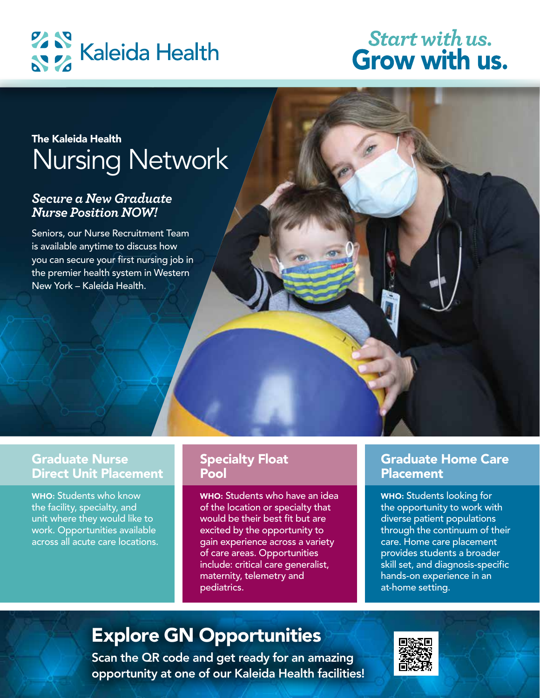

## **Start with us. Grow with us.**

## The Kalenda Health Nursing Nursing Nursing Nursing Nursing Nursing Nursing Nursing Nursing Nursing Nursing Nur<br>Nursing Nursing Nursing Nursing Nursing Nursing Nursing Nursing Nursing Nursing Nursing Nursing Nursing Nursin<br> Nursing Network The Kaleida Health

#### *Secure a New Graduate Nurse Position NOW!*

Seniors, our Nurse Recruitment Team is available anytime to discuss how you can secure your first nursing job in the premier health system in Western New York – Kaleida Health.

## Graduate Nurse Direct Unit Placement

WHO: Students who know the facility, specialty, and unit where they would like to work. Opportunities available across all acute care locations.

## Specialty Float Pool

WHO: Students who have an idea of the location or specialty that would be their best fit but are excited by the opportunity to gain experience across a variety of care areas. Opportunities include: critical care generalist, maternity, telemetry and pediatrics.

## Graduate Home Care **Placement**

WHO: Students looking for the opportunity to work with diverse patient populations through the continuum of their care. Home care placement provides students a broader skill set, and diagnosis-specific hands-on experience in an at-home setting.

# Explore GN Opportunities

Scan the QR code and get ready for an amazing opportunity at one of our Kaleida Health facilities!